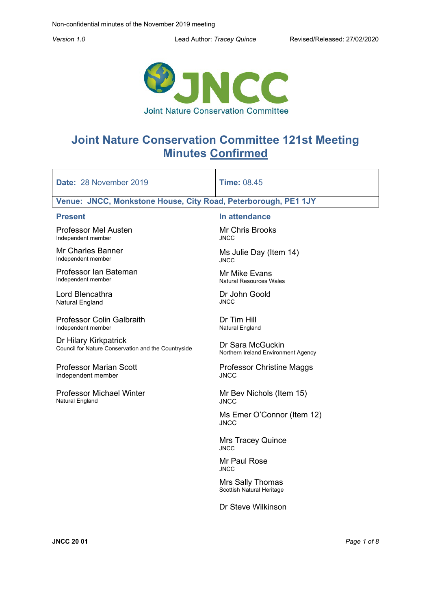

# **Joint Nature Conservation Committee 121st Meeting Minutes Confirmed**

| Date: 28 November 2019                                                       | <b>Time: 08.45</b>                                      |
|------------------------------------------------------------------------------|---------------------------------------------------------|
| Venue: JNCC, Monkstone House, City Road, Peterborough, PE1 1JY               |                                                         |
| <b>Present</b>                                                               | In attendance                                           |
| <b>Professor Mel Austen</b><br>Independent member                            | <b>Mr Chris Brooks</b><br><b>JNCC</b>                   |
| Mr Charles Banner<br>Independent member                                      | Ms Julie Day (Item 14)<br><b>JNCC</b>                   |
| Professor Ian Bateman<br>Independent member                                  | Mr Mike Evans<br>Natural Resources Wales                |
| Lord Blencathra<br><b>Natural England</b>                                    | Dr John Goold<br><b>JNCC</b>                            |
| <b>Professor Colin Galbraith</b><br>Independent member                       | Dr Tim Hill<br>Natural England                          |
| Dr Hilary Kirkpatrick<br>Council for Nature Conservation and the Countryside | Dr Sara McGuckin<br>Northern Ireland Environment Agency |
| <b>Professor Marian Scott</b><br>Independent member                          | <b>Professor Christine Maggs</b><br><b>JNCC</b>         |
| <b>Professor Michael Winter</b><br>Natural England                           | Mr Bev Nichols (Item 15)<br><b>JNCC</b>                 |
|                                                                              | Ms Emer O'Connor (Item 12)<br><b>JNCC</b>               |
|                                                                              | <b>Mrs Tracey Quince</b><br><b>JNCC</b>                 |
|                                                                              | Mr Paul Rose<br><b>JNCC</b>                             |
|                                                                              | Mrs Sally Thomas<br>Scottish Natural Heritage           |
|                                                                              | Dr Steve Wilkinson                                      |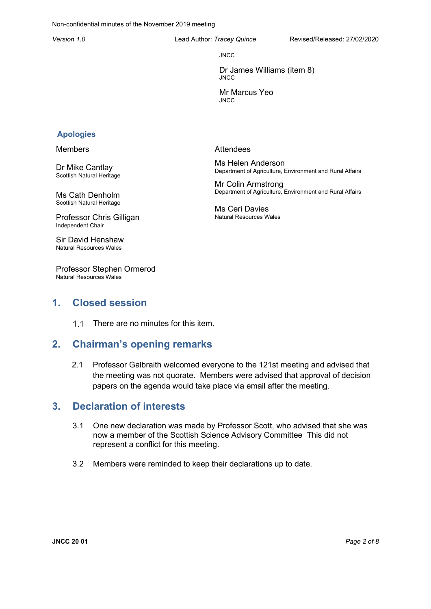**JNCC** 

Dr James Williams (item 8) JNCC

Mr Marcus Yeo **JNCC** 

#### **Apologies**

Members

Dr Mike Cantlay Scottish Natural Heritage

Ms Cath Denholm Scottish Natural Heritage

Professor Chris Gilligan Independent Chair

Sir David Henshaw Natural Resources Wales

Professor Stephen Ormerod Natural Resources Wales

### **1. Closed session**

 $1.1$ There are no minutes for this item.

### **2. Chairman's opening remarks**

2.1 Professor Galbraith welcomed everyone to the 121st meeting and advised that the meeting was not quorate. Members were advised that approval of decision papers on the agenda would take place via email after the meeting.

### **3. Declaration of interests**

- 3.1 One new declaration was made by Professor Scott, who advised that she was now a member of the Scottish Science Advisory Committee This did not represent a conflict for this meeting.
- 3.2 Members were reminded to keep their declarations up to date.

#### **Attendees**

Ms Helen Anderson Department of Agriculture, Environment and Rural Affairs

Mr Colin Armstrong Department of Agriculture, Environment and Rural Affairs

Ms Ceri Davies Natural Resources Wales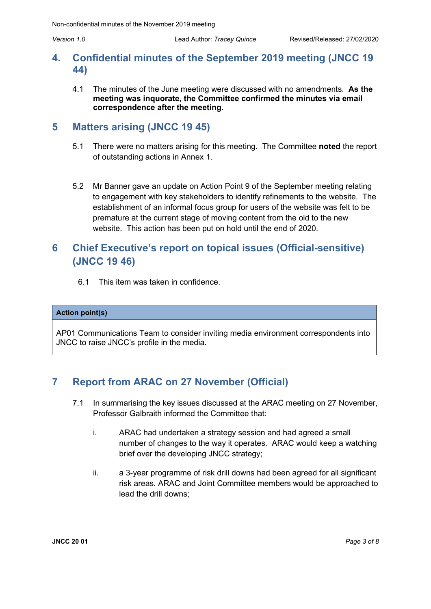## **4. Confidential minutes of the September 2019 meeting (JNCC 19 44)**

4.1 The minutes of the June meeting were discussed with no amendments. **As the meeting was inquorate, the Committee confirmed the minutes via email correspondence after the meeting.**

### **5 Matters arising (JNCC 19 45)**

- 5.1 There were no matters arising for this meeting. The Committee **noted** the report of outstanding actions in Annex 1.
- 5.2 Mr Banner gave an update on Action Point 9 of the September meeting relating to engagement with key stakeholders to identify refinements to the website. The establishment of an informal focus group for users of the website was felt to be premature at the current stage of moving content from the old to the new website. This action has been put on hold until the end of 2020.

## **6 Chief Executive's report on topical issues (Official-sensitive) (JNCC 19 46)**

6.1 This item was taken in confidence.

#### **Action point(s)**

AP01 Communications Team to consider inviting media environment correspondents into JNCC to raise JNCC's profile in the media.

## **7 Report from ARAC on 27 November (Official)**

- 7.1 In summarising the key issues discussed at the ARAC meeting on 27 November, Professor Galbraith informed the Committee that:
	- i. ARAC had undertaken a strategy session and had agreed a small number of changes to the way it operates. ARAC would keep a watching brief over the developing JNCC strategy;
	- ii. a 3-year programme of risk drill downs had been agreed for all significant risk areas. ARAC and Joint Committee members would be approached to lead the drill downs;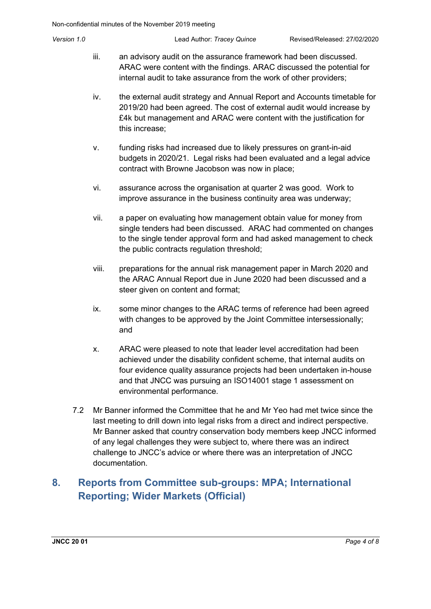- iii. an advisory audit on the assurance framework had been discussed. ARAC were content with the findings. ARAC discussed the potential for internal audit to take assurance from the work of other providers;
- iv. the external audit strategy and Annual Report and Accounts timetable for 2019/20 had been agreed. The cost of external audit would increase by £4k but management and ARAC were content with the justification for this increase;
- v. funding risks had increased due to likely pressures on grant-in-aid budgets in 2020/21. Legal risks had been evaluated and a legal advice contract with Browne Jacobson was now in place;
- vi. assurance across the organisation at quarter 2 was good. Work to improve assurance in the business continuity area was underway;
- vii. a paper on evaluating how management obtain value for money from single tenders had been discussed. ARAC had commented on changes to the single tender approval form and had asked management to check the public contracts regulation threshold;
- viii. preparations for the annual risk management paper in March 2020 and the ARAC Annual Report due in June 2020 had been discussed and a steer given on content and format;
- ix. some minor changes to the ARAC terms of reference had been agreed with changes to be approved by the Joint Committee intersessionally; and
- x. ARAC were pleased to note that leader level accreditation had been achieved under the disability confident scheme, that internal audits on four evidence quality assurance projects had been undertaken in-house and that JNCC was pursuing an ISO14001 stage 1 assessment on environmental performance.
- 7.2 Mr Banner informed the Committee that he and Mr Yeo had met twice since the last meeting to drill down into legal risks from a direct and indirect perspective. Mr Banner asked that country conservation body members keep JNCC informed of any legal challenges they were subject to, where there was an indirect challenge to JNCC's advice or where there was an interpretation of JNCC documentation.

# **8. Reports from Committee sub-groups: MPA; International Reporting; Wider Markets (Official)**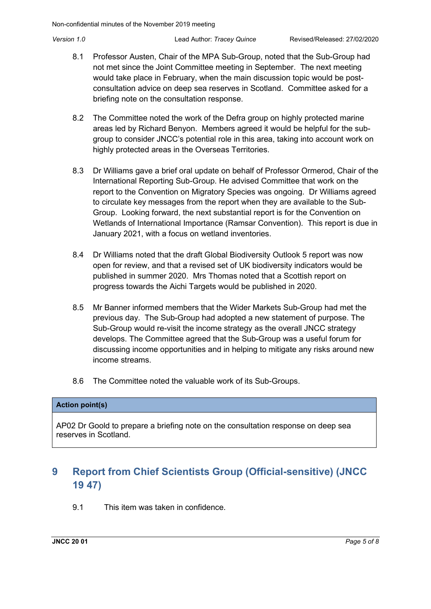- 8.1 Professor Austen, Chair of the MPA Sub-Group, noted that the Sub-Group had not met since the Joint Committee meeting in September. The next meeting would take place in February, when the main discussion topic would be postconsultation advice on deep sea reserves in Scotland. Committee asked for a briefing note on the consultation response.
- 8.2 The Committee noted the work of the Defra group on highly protected marine areas led by Richard Benyon. Members agreed it would be helpful for the subgroup to consider JNCC's potential role in this area, taking into account work on highly protected areas in the Overseas Territories.
- 8.3 Dr Williams gave a brief oral update on behalf of Professor Ormerod, Chair of the International Reporting Sub-Group. He advised Committee that work on the report to the Convention on Migratory Species was ongoing. Dr Williams agreed to circulate key messages from the report when they are available to the Sub-Group. Looking forward, the next substantial report is for the Convention on Wetlands of International Importance (Ramsar Convention). This report is due in January 2021, with a focus on wetland inventories.
- 8.4 Dr Williams noted that the draft Global Biodiversity Outlook 5 report was now open for review, and that a revised set of UK biodiversity indicators would be published in summer 2020. Mrs Thomas noted that a Scottish report on progress towards the Aichi Targets would be published in 2020.
- 8.5 Mr Banner informed members that the Wider Markets Sub-Group had met the previous day. The Sub-Group had adopted a new statement of purpose. The Sub-Group would re-visit the income strategy as the overall JNCC strategy develops. The Committee agreed that the Sub-Group was a useful forum for discussing income opportunities and in helping to mitigate any risks around new income streams.
- 8.6 The Committee noted the valuable work of its Sub-Groups.

#### **Action point(s)**

AP02 Dr Goold to prepare a briefing note on the consultation response on deep sea reserves in Scotland.

# **9 Report from Chief Scientists Group (Official-sensitive) (JNCC 19 47)**

9.1 This item was taken in confidence.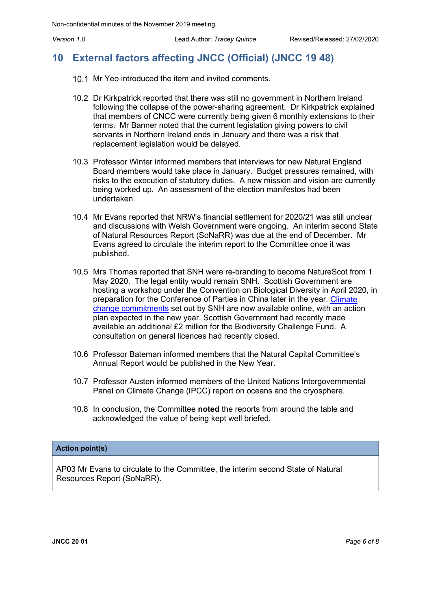# **10 External factors affecting JNCC (Official) (JNCC 19 48)**

- 10.1 Mr Yeo introduced the item and invited comments.
- 10.2 Dr Kirkpatrick reported that there was still no government in Northern Ireland following the collapse of the power-sharing agreement. Dr Kirkpatrick explained that members of CNCC were currently being given 6 monthly extensions to their terms. Mr Banner noted that the current legislation giving powers to civil servants in Northern Ireland ends in January and there was a risk that replacement legislation would be delayed.
- 10.3 Professor Winter informed members that interviews for new Natural England Board members would take place in January. Budget pressures remained, with risks to the execution of statutory duties. A new mission and vision are currently being worked up. An assessment of the election manifestos had been undertaken.
- 10.4 Mr Evans reported that NRW's financial settlement for 2020/21 was still unclear and discussions with Welsh Government were ongoing. An interim second State of Natural Resources Report (SoNaRR) was due at the end of December. Mr Evans agreed to circulate the interim report to the Committee once it was published.
- 10.5 Mrs Thomas reported that SNH were re-branding to become NatureScot from 1 May 2020. The legal entity would remain SNH. Scottish Government are hosting a workshop under the Convention on Biological Diversity in April 2020, in preparation for the Conference of Parties in China later in the year. [Climate](https://www.nature.scot/snhs-climate-change-commitments-2019-0)  [change commitments](https://www.nature.scot/snhs-climate-change-commitments-2019-0) set out by SNH are now available online, with an action plan expected in the new year. Scottish Government had recently made available an additional £2 million for the Biodiversity Challenge Fund. A consultation on general licences had recently closed.
- 10.6 Professor Bateman informed members that the Natural Capital Committee's Annual Report would be published in the New Year.
- 10.7 Professor Austen informed members of the United Nations Intergovernmental Panel on Climate Change (IPCC) report on oceans and the cryosphere.
- 10.8 In conclusion, the Committee **noted** the reports from around the table and acknowledged the value of being kept well briefed.

#### **Action point(s)**

AP03 Mr Evans to circulate to the Committee, the interim second State of Natural Resources Report (SoNaRR).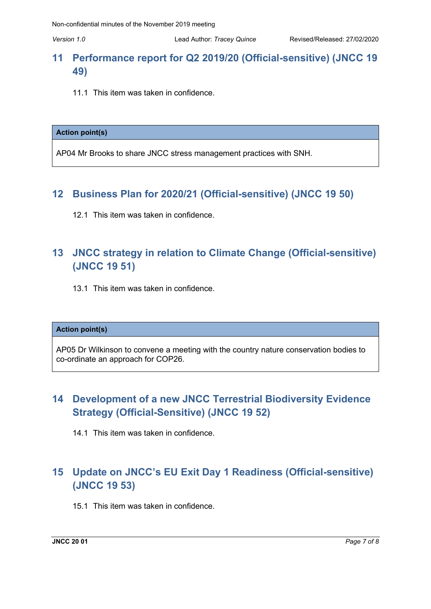# **11 Performance report for Q2 2019/20 (Official-sensitive) (JNCC 19 49)**

11.1 This item was taken in confidence

#### **Action point(s)**

AP04 Mr Brooks to share JNCC stress management practices with SNH.

## **12 Business Plan for 2020/21 (Official-sensitive) (JNCC 19 50)**

12.1 This item was taken in confidence.

# **13 JNCC strategy in relation to Climate Change (Official-sensitive) (JNCC 19 51)**

13.1 This item was taken in confidence.

#### **Action point(s)**

AP05 Dr Wilkinson to convene a meeting with the country nature conservation bodies to co-ordinate an approach for COP26.

# **14 Development of a new JNCC Terrestrial Biodiversity Evidence Strategy (Official-Sensitive) (JNCC 19 52)**

14.1 This item was taken in confidence.

# **15 Update on JNCC's EU Exit Day 1 Readiness (Official-sensitive) (JNCC 19 53)**

15.1 This item was taken in confidence.